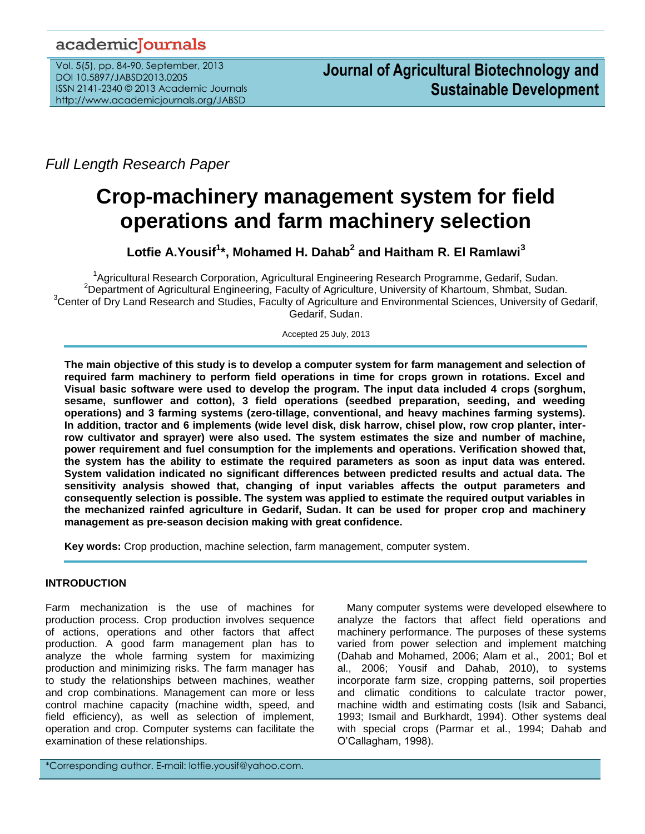# academicJournals

Vol. 5(5), pp. 84-90, September, 2013 DOI 10.5897/JABSD2013.0205 ISSN 2141-2340 © 2013 Academic Journals http://www.academicjournals.org/JABSD

*Full Length Research Paper*

# **Crop-machinery management system for field operations and farm machinery selection**

**Lotfie A.Yousif<sup>1</sup> \*, Mohamed H. Dahab<sup>2</sup> and Haitham R. El Ramlawi<sup>3</sup>**

<sup>1</sup>Agricultural Research Corporation, Agricultural Engineering Research Programme, Gedarif, Sudan. <sup>2</sup>Department of Agricultural Engineering, Faculty of Agriculture, University of Khartoum, Shmbat, Sudan. <sup>3</sup>Center of Dry Land Research and Studies, Faculty of Agriculture and Environmental Sciences, University of Gedarif, Gedarif, Sudan.

Accepted 25 July, 2013

**The main objective of this study is to develop a computer system for farm management and selection of required farm machinery to perform field operations in time for crops grown in rotations. Excel and Visual basic software were used to develop the program. The input data included 4 crops (sorghum, sesame, sunflower and cotton), 3 field operations (seedbed preparation, seeding, and weeding operations) and 3 farming systems (zero-tillage, conventional, and heavy machines farming systems). In addition, tractor and 6 implements (wide level disk, disk harrow, chisel plow, row crop planter, interrow cultivator and sprayer) were also used. The system estimates the size and number of machine, power requirement and fuel consumption for the implements and operations. Verification showed that, the system has the ability to estimate the required parameters as soon as input data was entered. System validation indicated no significant differences between predicted results and actual data. The sensitivity analysis showed that, changing of input variables affects the output parameters and consequently selection is possible. The system was applied to estimate the required output variables in the mechanized rainfed agriculture in Gedarif, Sudan. It can be used for proper crop and machinery management as pre-season decision making with great confidence.** 

**Key words:** Crop production, machine selection, farm management, computer system.

# **INTRODUCTION**

Farm mechanization is the use of machines for production process. Crop production involves sequence of actions, operations and other factors that affect production. A good farm management plan has to analyze the whole farming system for maximizing production and minimizing risks. The farm manager has to study the relationships between machines, weather and crop combinations. Management can more or less control machine capacity (machine width, speed, and field efficiency), as well as selection of implement, operation and crop. Computer systems can facilitate the examination of these relationships.

Many computer systems were developed elsewhere to analyze the factors that affect field operations and machinery performance. The purposes of these systems varied from power selection and implement matching (Dahab and Mohamed, 2006; Alam et al., 2001; Bol et al., 2006; Yousif and Dahab, 2010), to systems incorporate farm size, cropping patterns, soil properties and climatic conditions to calculate tractor power, machine width and estimating costs (Isik and Sabanci, 1993; Ismail and Burkhardt, 1994). Other systems deal with special crops (Parmar et al., 1994; Dahab and O'Callagham, 1998).

\*Corresponding author. E-mail: lotfie.yousif@yahoo.com.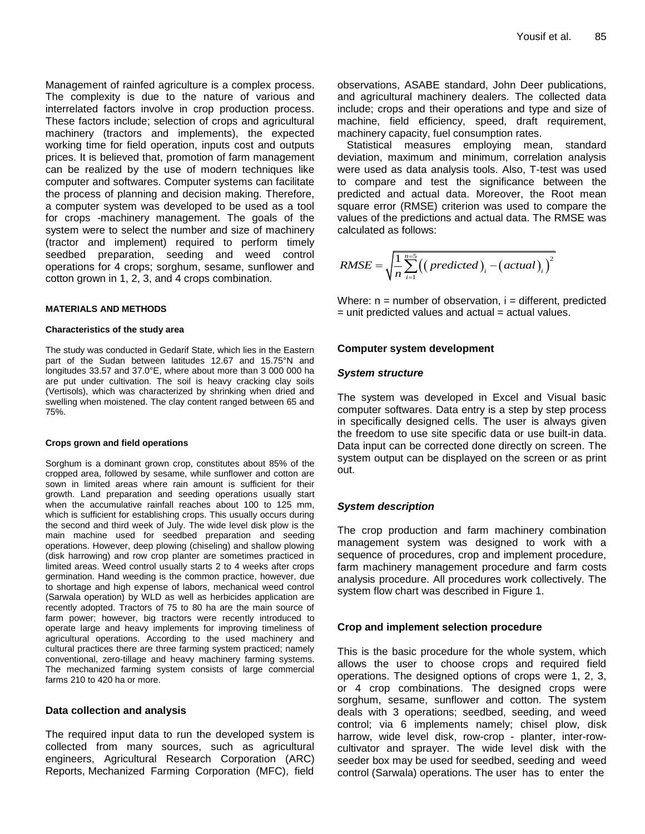Management of rainfed agriculture is a complex process. The complexity is due to the nature of various and interrelated factors involve in crop production process. These factors include; selection of crops and agricultural machinery (tractors and implements), the expected working time for field operation, inputs cost and outputs prices. It is believed that, promotion of farm management can be realized by the use of modern techniques like computer and softwares. Computer systems can facilitate the process of planning and decision making. Therefore, a computer system was developed to be used as a tool for crops -machinery management. The goals of the system were to select the number and size of machinery (tractor and implement) required to perform timely seedbed preparation, seeding and weed control operations for 4 crops; sorghum, sesame, sunflower and cotton grown in 1, 2, 3, and 4 crops combination.

#### **MATERIALS AND METHODS**

#### **Characteristics of the study area**

The study was conducted in Gedarif State, which lies in the Eastern part of the Sudan between latitudes 12.67 and 15.75°N and longitudes 33.57 and 37.0°E, where about more than 3 000 000 ha are put under cultivation. The soil is heavy cracking clay soils (Vertisols), which was characterized by shrinking when dried and swelling when moistened. The clay content ranged between 65 and 75%.

#### **Crops grown and field operations**

Sorghum is a dominant grown crop, constitutes about 85% of the cropped area, followed by sesame, while sunflower and cotton are sown in limited areas where rain amount is sufficient for their growth. Land preparation and seeding operations usually start when the accumulative rainfall reaches about 100 to 125 mm, which is sufficient for establishing crops. This usually occurs during the second and third week of July. The wide level disk plow is the main machine used for seedbed preparation and seeding operations. However, deep plowing (chiseling) and shallow plowing (disk harrowing) and row crop planter are sometimes practiced in limited areas. Weed control usually starts 2 to 4 weeks after crops germination. Hand weeding is the common practice, however, due to shortage and high expense of labors, mechanical weed control (Sarwala operation) by WLD as well as herbicides application are recently adopted. Tractors of 75 to 80 ha are the main source of farm power; however, big tractors were recently introduced to operate large and heavy implements for improving timeliness of agricultural operations. According to the used machinery and cultural practices there are three farming system practiced; namely conventional, zero-tillage and heavy machinery farming systems. The mechanized farming system consists of large commercial farms 210 to 420 ha or more.

#### **Data collection and analysis**

The required input data to run the developed system is collected from many sources, such as agricultural engineers, Agricultural Research Corporation (ARC) Reports, Mechanized Farming Corporation (MFC), field observations, ASABE standard, John Deer publications, and agricultural machinery dealers. The collected data include; crops and their operations and type and size of machine, field efficiency, speed, draft requirement, machinery capacity, fuel consumption rates.

Statistical measures employing mean, standard deviation, maximum and minimum, correlation analysis were used as data analysis tools. Also, T-test was used to compare and test the significance between the predicted and actual data. Moreover, the Root mean square error (RMSE) criterion was used to compare the values of the predictions and actual data. The RMSE was calculated as follows:

$$
RMSE = \sqrt{\frac{1}{n} \sum_{i=1}^{n=5} ((predicted)_i - (actual)_i)^2}
$$

Where:  $n =$  number of observation,  $i =$  different, predicted  $=$  unit predicted values and actual  $=$  actual values.

#### **Computer system development**

#### *System structure*

The system was developed in Excel and Visual basic computer softwares. Data entry is a step by step process in specifically designed cells. The user is always given the freedom to use site specific data or use built-in data. Data input can be corrected done directly on screen. The system output can be displayed on the screen or as print out.

## *System description*

The crop production and farm machinery combination management system was designed to work with a sequence of procedures, crop and implement procedure, farm machinery management procedure and farm costs analysis procedure. All procedures work collectively. The system flow chart was described in Figure 1.

#### **Crop and implement selection procedure**

This is the basic procedure for the whole system, which allows the user to choose crops and required field operations. The designed options of crops were 1, 2, 3, or 4 crop combinations. The designed crops were sorghum, sesame, sunflower and cotton. The system deals with 3 operations; seedbed, seeding, and weed control; via 6 implements namely; chisel plow, disk harrow, wide level disk, row-crop - planter, inter-rowcultivator and sprayer. The wide level disk with the seeder box may be used for seedbed, seeding and weed control (Sarwala) operations. The user has to enter the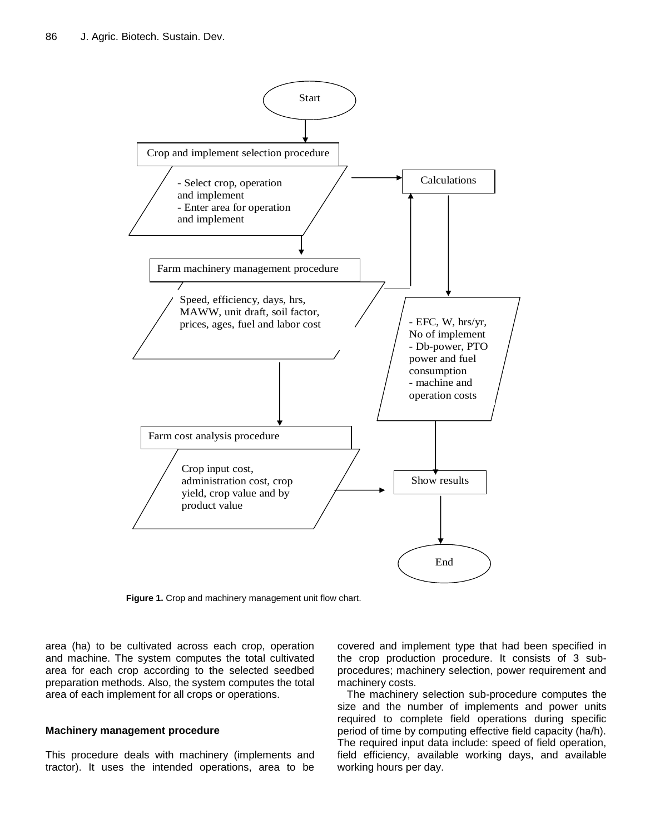

**Figure 1.** Crop and machinery management unit flow chart.

area (ha) to be cultivated across each crop, operation and machine. The system computes the total cultivated area for each crop according to the selected seedbed preparation methods. Also, the system computes the total area of each implement for all crops or operations.

# **Machinery management procedure**

This procedure deals with machinery (implements and tractor). It uses the intended operations, area to be covered and implement type that had been specified in the crop production procedure. It consists of 3 subprocedures; machinery selection, power requirement and machinery costs.

The machinery selection sub-procedure computes the size and the number of implements and power units required to complete field operations during specific period of time by computing effective field capacity (ha/h). The required input data include: speed of field operation, field efficiency, available working days, and available working hours per day.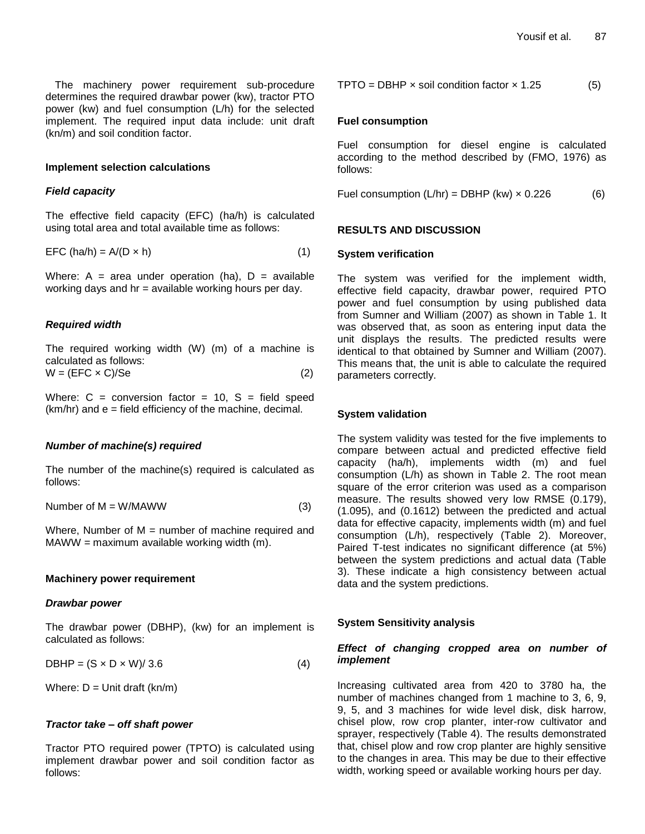The machinery power requirement sub-procedure determines the required drawbar power (kw), tractor PTO power (kw) and fuel consumption (L/h) for the selected implement. The required input data include: unit draft (kn/m) and soil condition factor.

## **Implement selection calculations**

#### *Field capacity*

The effective field capacity (EFC) (ha/h) is calculated using total area and total available time as follows:

$$
EFC (ha/h) = A/(D \times h)
$$
 (1)

Where:  $A = area$  under operation (ha),  $D = axalable$ working days and  $hr = available$  working hours per day.

#### *Required width*

The required working width (W) (m) of a machine is calculated as follows:  $W = (EFC \times C)/Se$  (2)

Where:  $C =$  conversion factor = 10,  $S =$  field speed (km/hr) and e = field efficiency of the machine, decimal.

# *Number of machine(s) required*

The number of the machine(s) required is calculated as follows:

Number of 
$$
M = W/MAWW
$$
 (3)

Where, Number of  $M =$  number of machine required and  $MAWW = maximum available working width (m).$ 

#### **Machinery power requirement**

#### *Drawbar power*

The drawbar power (DBHP), (kw) for an implement is calculated as follows:

$$
DBHP = (S \times D \times W)/3.6 \tag{4}
$$

Where:  $D =$  Unit draft (kn/m)

#### *Tractor take – off shaft power*

Tractor PTO required power (TPTO) is calculated using implement drawbar power and soil condition factor as follows:

$$
TPTO = DBHP \times soil condition factor \times 1.25 \tag{5}
$$

#### **Fuel consumption**

Fuel consumption for diesel engine is calculated according to the method described by (FMO, 1976) as follows:

Fuel consumption  $(L/hr) = DBHP (kw) \times 0.226$  (6)

#### **RESULTS AND DISCUSSION**

#### **System verification**

The system was verified for the implement width, effective field capacity, drawbar power, required PTO power and fuel consumption by using published data from Sumner and William (2007) as shown in Table 1. It was observed that, as soon as entering input data the unit displays the results. The predicted results were identical to that obtained by Sumner and William (2007). This means that, the unit is able to calculate the required parameters correctly.

#### **System validation**

The system validity was tested for the five implements to compare between actual and predicted effective field capacity (ha/h), implements width (m) and fuel consumption (L/h) as shown in Table 2. The root mean square of the error criterion was used as a comparison measure. The results showed very low RMSE (0.179), (1.095), and (0.1612) between the predicted and actual data for effective capacity, implements width (m) and fuel consumption (L/h), respectively (Table 2). Moreover, Paired T-test indicates no significant difference (at 5%) between the system predictions and actual data (Table 3). These indicate a high consistency between actual data and the system predictions.

#### **System Sensitivity analysis**

# *Effect of changing cropped area on number of implement*

Increasing cultivated area from 420 to 3780 ha, the number of machines changed from 1 machine to 3, 6, 9, 9, 5, and 3 machines for wide level disk, disk harrow, chisel plow, row crop planter, inter-row cultivator and sprayer, respectively (Table 4). The results demonstrated that, chisel plow and row crop planter are highly sensitive to the changes in area. This may be due to their effective width, working speed or available working hours per day.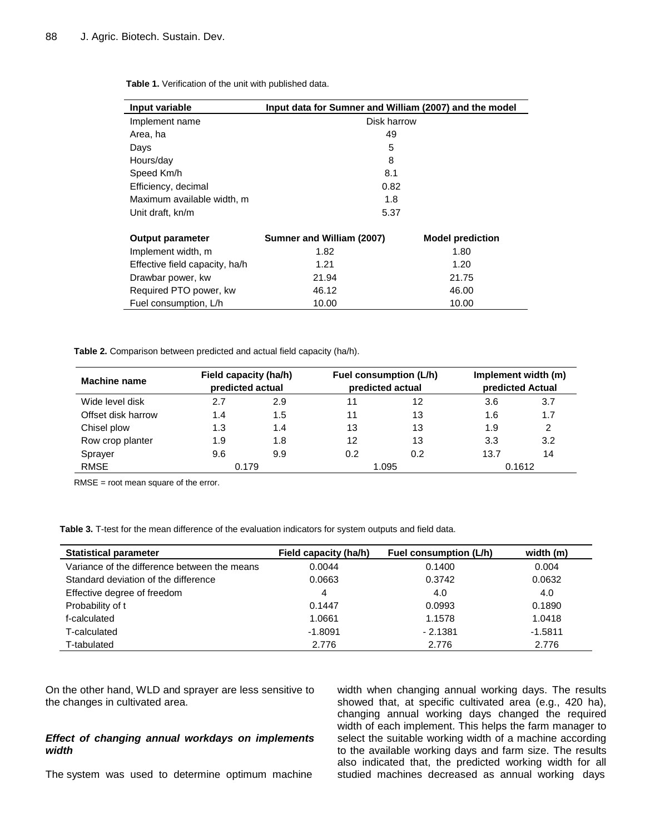| Input variable                 | Input data for Sumner and William (2007) and the model |                         |  |  |  |  |
|--------------------------------|--------------------------------------------------------|-------------------------|--|--|--|--|
| Implement name                 | Disk harrow                                            |                         |  |  |  |  |
| Area, ha                       | 49                                                     |                         |  |  |  |  |
| Days                           | 5                                                      |                         |  |  |  |  |
| Hours/day                      | 8                                                      |                         |  |  |  |  |
| Speed Km/h                     | 8.1                                                    |                         |  |  |  |  |
| Efficiency, decimal            | 0.82                                                   |                         |  |  |  |  |
| Maximum available width, m     | 1.8                                                    |                         |  |  |  |  |
| Unit draft, kn/m               | 5.37                                                   |                         |  |  |  |  |
| <b>Output parameter</b>        | Sumner and William (2007)                              | <b>Model prediction</b> |  |  |  |  |
| Implement width, m             | 1.82                                                   | 1.80                    |  |  |  |  |
| Effective field capacity, ha/h | 1.21                                                   | 1.20                    |  |  |  |  |
| Drawbar power, kw              | 21.94<br>21.75                                         |                         |  |  |  |  |
| Required PTO power, kw         | 46.12<br>46.00                                         |                         |  |  |  |  |
| Fuel consumption, L/h          | 10.00<br>10.00                                         |                         |  |  |  |  |

**Table 1.** Verification of the unit with published data.

**Table 2.** Comparison between predicted and actual field capacity (ha/h).

| Field capacity (ha/h)<br>Machine name<br>predicted actual |       |     | Fuel consumption (L/h)<br>predicted actual |       | Implement width (m)<br>predicted Actual |     |
|-----------------------------------------------------------|-------|-----|--------------------------------------------|-------|-----------------------------------------|-----|
| Wide level disk                                           | 2.7   | 2.9 |                                            | 12    | 3.6                                     | 3.7 |
| Offset disk harrow                                        | 1.4   | 1.5 | 11                                         | 13    | 1.6                                     | 1.7 |
| Chisel plow                                               | 1.3   | 1.4 | 13                                         | 13    | 1.9                                     | 2   |
| Row crop planter                                          | 1.9   | 1.8 | 12                                         | 13    | 3.3                                     | 3.2 |
| Sprayer                                                   | 9.6   | 9.9 | 0.2                                        | 0.2   | 13.7                                    | 14  |
| <b>RMSE</b>                                               | 0.179 |     |                                            | 1.095 | 0.1612                                  |     |

RMSE = root mean square of the error.

**Table 3.** T-test for the mean difference of the evaluation indicators for system outputs and field data.

| <b>Statistical parameter</b>                 | Field capacity (ha/h) | Fuel consumption (L/h) | width (m) |
|----------------------------------------------|-----------------------|------------------------|-----------|
| Variance of the difference between the means | 0.0044                | 0.1400                 | 0.004     |
| Standard deviation of the difference         | 0.0663                | 0.3742                 | 0.0632    |
| Effective degree of freedom                  | 4                     | 4.0                    | 4.0       |
| Probability of t                             | 0.1447                | 0.0993                 | 0.1890    |
| f-calculated                                 | 1.0661                | 1.1578                 | 1.0418    |
| T-calculated                                 | $-1.8091$             | $-2.1381$              | $-1.5811$ |
| T-tabulated                                  | 2.776                 | 2.776                  | 2.776     |

On the other hand, WLD and sprayer are less sensitive to the changes in cultivated area.

# *Effect of changing annual workdays on implements width*

The system was used to determine optimum machine

width when changing annual working days. The results showed that, at specific cultivated area (e.g., 420 ha), changing annual working days changed the required width of each implement. This helps the farm manager to select the suitable working width of a machine according to the available working days and farm size. The results also indicated that, the predicted working width for all studied machines decreased as annual working days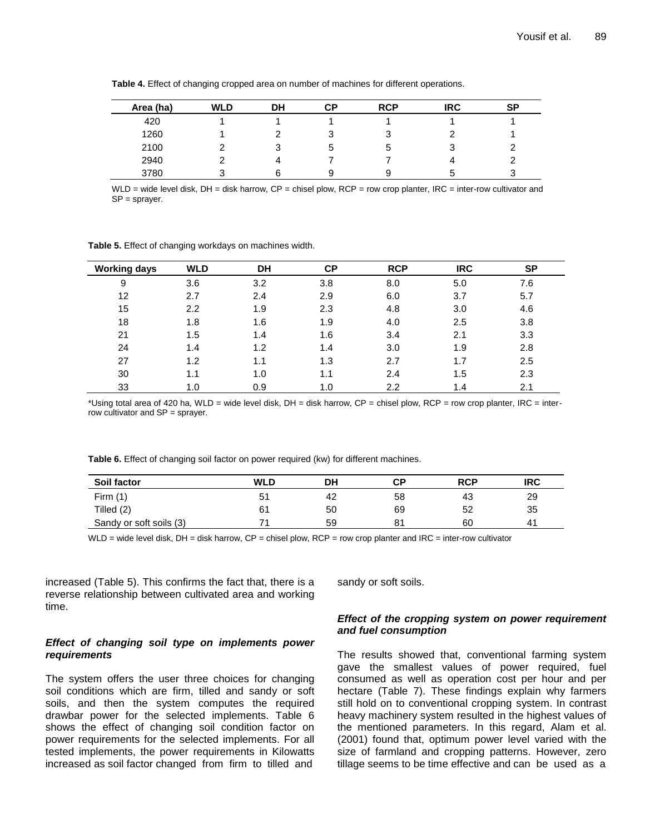| Area (ha) | <b>WLD</b> | DH | СP | <b>RCP</b> | <b>IRC</b> | <b>SP</b> |
|-----------|------------|----|----|------------|------------|-----------|
| 420       |            |    |    |            |            |           |
| 1260      |            |    | د. | J          |            |           |
| 2100      |            | w  | э  | b          | ٽ          |           |
| 2940      | ົ          |    |    |            |            |           |
| 3780      | ົ          |    | 9  | ჟ          | э          | 3         |

**Table 4.** Effect of changing cropped area on number of machines for different operations.

WLD = wide level disk, DH = disk harrow, CP = chisel plow, RCP = row crop planter, IRC = inter-row cultivator and SP = sprayer.

**Table 5.** Effect of changing workdays on machines width.

| <b>Working days</b> | <b>WLD</b> | <b>DH</b> | СP  | <b>RCP</b> | <b>IRC</b> | SP  |
|---------------------|------------|-----------|-----|------------|------------|-----|
| 9                   | 3.6        | 3.2       | 3.8 | 8.0        | 5.0        | 7.6 |
| 12                  | 2.7        | 2.4       | 2.9 | 6.0        | 3.7        | 5.7 |
| 15                  | 2.2        | 1.9       | 2.3 | 4.8        | 3.0        | 4.6 |
| 18                  | 1.8        | 1.6       | 1.9 | 4.0        | 2.5        | 3.8 |
| 21                  | 1.5        | 1.4       | 1.6 | 3.4        | 2.1        | 3.3 |
| 24                  | 1.4        | 1.2       | 1.4 | 3.0        | 1.9        | 2.8 |
| 27                  | 1.2        | 1.1       | 1.3 | 2.7        | 1.7        | 2.5 |
| 30                  | 1.1        | 1.0       | 1.1 | 2.4        | 1.5        | 2.3 |
| 33                  | 1.0        | 0.9       | 1.0 | 2.2        | 1.4        | 2.1 |

\*Using total area of 420 ha, WLD = wide level disk, DH = disk harrow, CP = chisel plow, RCP = row crop planter, IRC = interrow cultivator and SP = sprayer.

**Table 6.** Effect of changing soil factor on power required (kw) for different machines.

| Soil factor             | WLD | DH | СP | <b>RCP</b> | <b>IRC</b>     |
|-------------------------|-----|----|----|------------|----------------|
| Firm $(1)$              |     | 42 | 58 | 43         | 29             |
| Tilled (2)              | 61  | 50 | 69 | 52         | 35             |
| Sandy or soft soils (3) |     | 59 |    | 60         | 4 <sup>1</sup> |

WLD = wide level disk,  $DH =$  disk harrow,  $CP =$  chisel plow,  $RCP =$  row crop planter and  $IRC =$  inter-row cultivator

increased (Table 5). This confirms the fact that, there is a reverse relationship between cultivated area and working time.

# *Effect of changing soil type on implements power requirements*

The system offers the user three choices for changing soil conditions which are firm, tilled and sandy or soft soils, and then the system computes the required drawbar power for the selected implements. Table 6 shows the effect of changing soil condition factor on power requirements for the selected implements. For all tested implements, the power requirements in Kilowatts increased as soil factor changed from firm to tilled and

sandy or soft soils.

# *Effect of the cropping system on power requirement and fuel consumption*

The results showed that, conventional farming system gave the smallest values of power required, fuel consumed as well as operation cost per hour and per hectare (Table 7). These findings explain why farmers still hold on to conventional cropping system. In contrast heavy machinery system resulted in the highest values of the mentioned parameters. In this regard, Alam et al. (2001) found that, optimum power level varied with the size of farmland and cropping patterns. However, zero tillage seems to be time effective and can be used as a